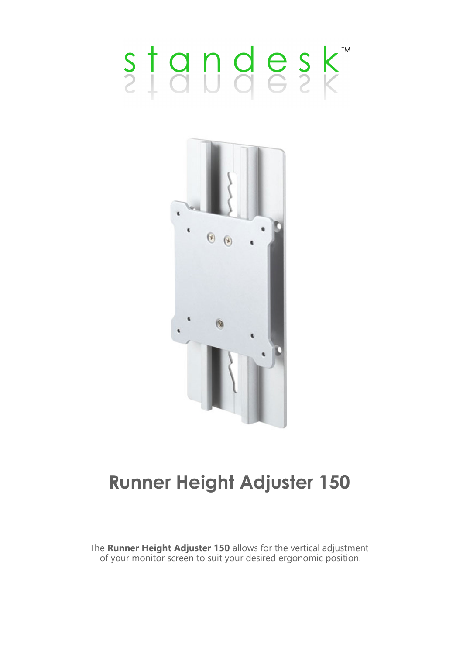# standesk



### **Runner Height Adjuster 150**

The **Runner Height Adjuster 150** allows for the vertical adjustment of your monitor screen to suit your desired ergonomic position.